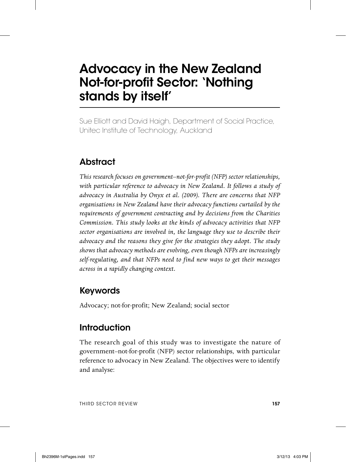# **Advocacy in the New Zealand Not-for-profit Sector: 'Nothing stands by itself'**

Sue Elliott and David Haigh, Department of Social Practice, Unitec Institute of Technology, Auckland

# **Abstract**

*This research focuses on government–not-for-profit (NFP) sector relationships, with particular reference to advocacy in New Zealand. It follows a study of advocacy in Australia by Onyx et al. (2009). There are concerns that NFP organisations in New Zealand have their advocacy functions curtailed by the requirements of government contracting and by decisions from the Charities Commission. This study looks at the kinds of advocacy activities that NFP sector organisations are involved in, the language they use to describe their advocacy and the reasons they give for the strategies they adopt. The study shows that advocacy methods are evolving, even though NFPs are increasingly self-regulating, and that NFPs need to find new ways to get their messages across in a rapidly changing context.*

## **Keywords**

Advocacy; not-for-profit; New Zealand; social sector

## **Introduction**

The research goal of this study was to investigate the nature of government–not-for-profit (NFP) sector relationships, with particular reference to advocacy in New Zealand. The objectives were to identify and analyse: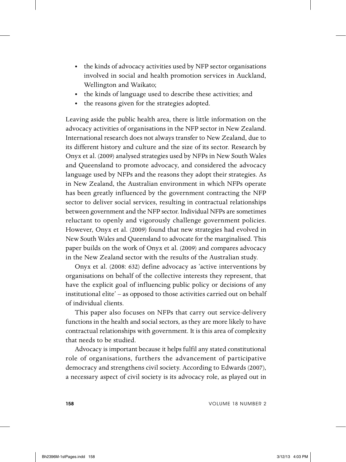- the kinds of advocacy activities used by NFP sector organisations involved in social and health promotion services in Auckland, Wellington and Waikato;
- the kinds of language used to describe these activities; and
- the reasons given for the strategies adopted.

Leaving aside the public health area, there is little information on the advocacy activities of organisations in the NFP sector in New Zealand. International research does not always transfer to New Zealand, due to its different history and culture and the size of its sector. Research by Onyx et al. (2009) analysed strategies used by NFPs in New South Wales and Queensland to promote advocacy, and considered the advocacy language used by NFPs and the reasons they adopt their strategies. As in New Zealand, the Australian environment in which NFPs operate has been greatly influenced by the government contracting the NFP sector to deliver social services, resulting in contractual relationships between government and the NFP sector. Individual NFPs are sometimes reluctant to openly and vigorously challenge government policies. However, Onyx et al. (2009) found that new strategies had evolved in New South Wales and Queensland to advocate for the marginalised. This paper builds on the work of Onyx et al. (2009) and compares advocacy in the New Zealand sector with the results of the Australian study.

Onyx et al. (2008: 632) define advocacy as 'active interventions by organisations on behalf of the collective interests they represent, that have the explicit goal of influencing public policy or decisions of any institutional elite' – as opposed to those activities carried out on behalf of individual clients.

This paper also focuses on NFPs that carry out service-delivery functions in the health and social sectors, as they are more likely to have contractual relationships with government. It is this area of complexity that needs to be studied.

Advocacy is important because it helps fulfil any stated constitutional role of organisations, furthers the advancement of participative democracy and strengthens civil society. According to Edwards (2007), a necessary aspect of civil society is its advocacy role, as played out in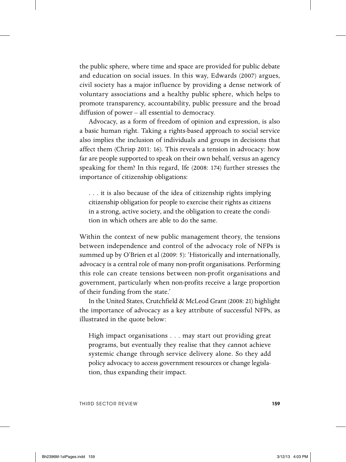the public sphere, where time and space are provided for public debate and education on social issues. In this way, Edwards (2007) argues, civil society has a major influence by providing a dense network of voluntary associations and a healthy public sphere, which helps to promote transparency, accountability, public pressure and the broad diffusion of power – all essential to democracy.

Advocacy, as a form of freedom of opinion and expression, is also a basic human right. Taking a rights-based approach to social service also implies the inclusion of individuals and groups in decisions that affect them (Chrisp 2011: 16). This reveals a tension in advocacy: how far are people supported to speak on their own behalf, versus an agency speaking for them? In this regard, Ife (2008: 174) further stresses the importance of citizenship obligations:

. . . it is also because of the idea of citizenship rights implying citizenship obligation for people to exercise their rights as citizens in a strong, active society, and the obligation to create the condition in which others are able to do the same.

Within the context of new public management theory, the tensions between independence and control of the advocacy role of NFPs is summed up by O'Brien et al (2009: 5): 'Historically and internationally, advocacy is a central role of many non-profit organisations. Performing this role can create tensions between non-profit organisations and government, particularly when non-profits receive a large proportion of their funding from the state.'

In the United States, Crutchfield & McLeod Grant (2008: 21) highlight the importance of advocacy as a key attribute of successful NFPs, as illustrated in the quote below:

High impact organisations . . . may start out providing great programs, but eventually they realise that they cannot achieve systemic change through service delivery alone. So they add policy advocacy to access government resources or change legislation, thus expanding their impact.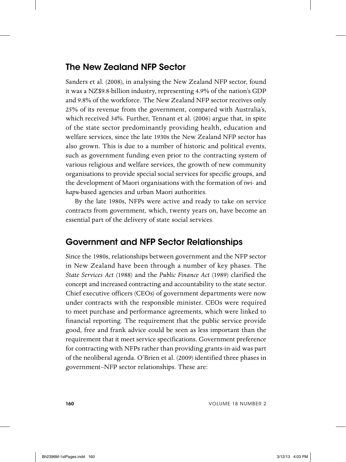#### **The New Zealand NFP Sector**

Sanders et al. (2008), in analysing the New Zealand NFP sector, found it was a NZ\$9.8-billion industry, representing 4.9% of the nation's GDP and 9.8% of the workforce. The New Zealand NFP sector receives only 25% of its revenue from the government, compared with Australia's, which received 34%. Further, Tennant et al. (2006) argue that, in spite of the state sector predominantly providing health, education and welfare services, since the late 1930s the New Zealand NFP sector has also grown. This is due to a number of historic and political events, such as government funding even prior to the contracting system of various religious and welfare services, the growth of new community organisations to provide special social services for specific groups, and the development of Maori organisations with the formation of *iwi-* and *hapu*-based agencies and urban Maori authorities.

By the late 1980s, NFPs were active and ready to take on service contracts from government, which, twenty years on, have become an essential part of the delivery of state social services.

#### **Government and NFP Sector Relationships**

Since the 1980s, relationships between government and the NFP sector in New Zealand have been through a number of key phases. The *State Services Act* (1988) and the *Public Finance Act* (1989) clarified the concept and increased contracting and accountability to the state sector. Chief executive officers (CEOs) of government departments were now under contracts with the responsible minister. CEOs were required to meet purchase and performance agreements, which were linked to financial reporting. The requirement that the public service provide good, free and frank advice could be seen as less important than the requirement that it meet service specifications. Government preference for contracting with NFPs rather than providing grants-in-aid was part of the neoliberal agenda. O'Brien et al. (2009) identified three phases in government–NFP sector relationships. These are: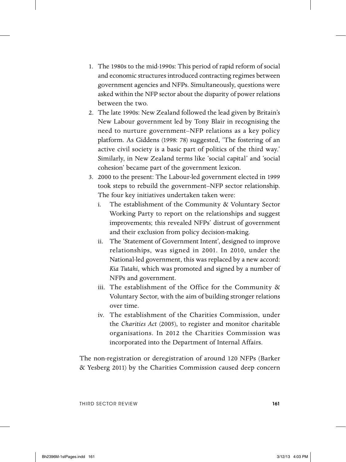- 1. The 1980s to the mid-1990s: This period of rapid reform of social and economic structures introduced contracting regimes between government agencies and NFPs. Simultaneously, questions were asked within the NFP sector about the disparity of power relations between the two.
- 2. The late 1990s: New Zealand followed the lead given by Britain's New Labour government led by Tony Blair in recognising the need to nurture government–NFP relations as a key policy platform. As Giddens (1998: 78) suggested, 'The fostering of an active civil society is a basic part of politics of the third way.' Similarly, in New Zealand terms like 'social capital' and 'social cohesion' became part of the government lexicon.
- 3. 2000 to the present: The Labour-led government elected in 1999 took steps to rebuild the government–NFP sector relationship. The four key initiatives undertaken taken were:
	- i. The establishment of the Community & Voluntary Sector Working Party to report on the relationships and suggest improvements; this revealed NFPs' distrust of government and their exclusion from policy decision-making.
	- ii. The 'Statement of Government Intent', designed to improve relationships, was signed in 2001. In 2010, under the National-led government, this was replaced by a new accord: *Kia Tutahi*, which was promoted and signed by a number of NFPs and government.
	- iii. The establishment of the Office for the Community & Voluntary Sector, with the aim of building stronger relations over time.
	- iv. The establishment of the Charities Commission, under the *Charities Act* (2005), to register and monitor charitable organisations. In 2012 the Charities Commission was incorporated into the Department of Internal Affairs.

The non-registration or deregistration of around 120 NFPs (Barker & Yesberg 2011) by the Charities Commission caused deep concern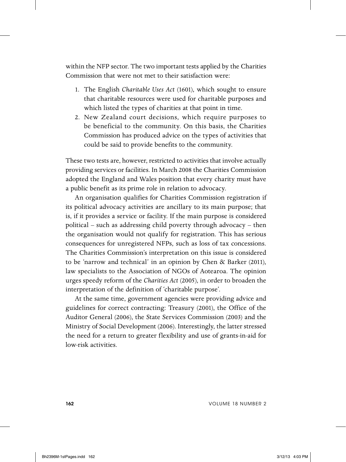within the NFP sector. The two important tests applied by the Charities Commission that were not met to their satisfaction were:

- 1. The English *Charitable Uses Act* (1601), which sought to ensure that charitable resources were used for charitable purposes and which listed the types of charities at that point in time.
- 2. New Zealand court decisions, which require purposes to be beneficial to the community. On this basis, the Charities Commission has produced advice on the types of activities that could be said to provide benefits to the community.

These two tests are, however, restricted to activities that involve actually providing services or facilities. In March 2008 the Charities Commission adopted the England and Wales position that every charity must have a public benefit as its prime role in relation to advocacy.

An organisation qualifies for Charities Commission registration if its political advocacy activities are ancillary to its main purpose; that is, if it provides a service or facility. If the main purpose is considered political – such as addressing child poverty through advocacy – then the organisation would not qualify for registration. This has serious consequences for unregistered NFPs, such as loss of tax concessions. The Charities Commission's interpretation on this issue is considered to be 'narrow and technical' in an opinion by Chen & Barker (2011), law specialists to the Association of NGOs of Aotearoa. The opinion urges speedy reform of the *Charities Act* (2005), in order to broaden the interpretation of the definition of 'charitable purpose'.

At the same time, government agencies were providing advice and guidelines for correct contracting: Treasury (2001), the Office of the Auditor General (2006), the State Services Commission (2003) and the Ministry of Social Development (2006). Interestingly, the latter stressed the need for a return to greater flexibility and use of grants-in-aid for low-risk activities.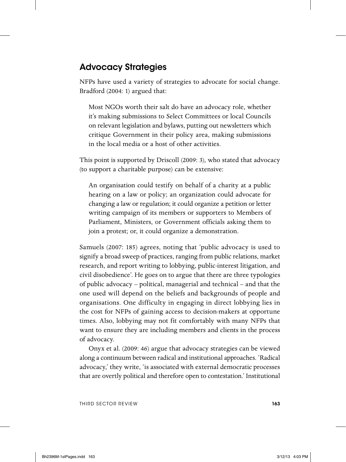## **Advocacy Strategies**

NFPs have used a variety of strategies to advocate for social change. Bradford (2004: 1) argued that:

Most NGOs worth their salt do have an advocacy role, whether it's making submissions to Select Committees or local Councils on relevant legislation and bylaws, putting out newsletters which critique Government in their policy area, making submissions in the local media or a host of other activities.

This point is supported by Driscoll (2009: 3), who stated that advocacy (to support a charitable purpose) can be extensive:

An organisation could testify on behalf of a charity at a public hearing on a law or policy; an organization could advocate for changing a law or regulation; it could organize a petition or letter writing campaign of its members or supporters to Members of Parliament, Ministers, or Government officials asking them to join a protest; or, it could organize a demonstration.

Samuels (2007: 185) agrees, noting that 'public advocacy is used to signify a broad sweep of practices, ranging from public relations, market research, and report writing to lobbying, public-interest litigation, and civil disobedience'. He goes on to argue that there are three typologies of public advocacy – political, managerial and technical – and that the one used will depend on the beliefs and backgrounds of people and organisations. One difficulty in engaging in direct lobbying lies in the cost for NFPs of gaining access to decision-makers at opportune times. Also, lobbying may not fit comfortably with many NFPs that want to ensure they are including members and clients in the process of advocacy.

Onyx et al. (2009: 46) argue that advocacy strategies can be viewed along a continuum between radical and institutional approaches. 'Radical advocacy,' they write, 'is associated with external democratic processes that are overtly political and therefore open to contestation.' Institutional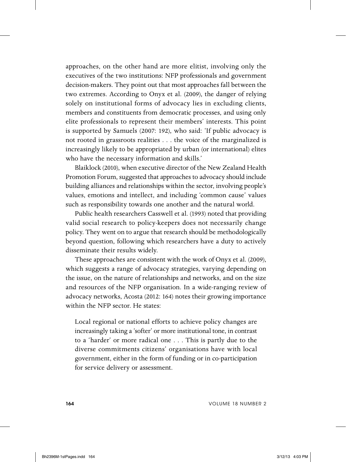approaches, on the other hand are more elitist, involving only the executives of the two institutions: NFP professionals and government decision-makers. They point out that most approaches fall between the two extremes. According to Onyx et al. (2009), the danger of relying solely on institutional forms of advocacy lies in excluding clients, members and constituents from democratic processes, and using only elite professionals to represent their members' interests. This point is supported by Samuels (2007: 192), who said: 'If public advocacy is not rooted in grassroots realities . . . the voice of the marginalized is increasingly likely to be appropriated by urban (or international) elites who have the necessary information and skills.'

Blaiklock (2010), when executive director of the New Zealand Health Promotion Forum, suggested that approaches to advocacy should include building alliances and relationships within the sector, involving people's values, emotions and intellect, and including 'common cause' values such as responsibility towards one another and the natural world.

Public health researchers Casswell et al. (1993) noted that providing valid social research to policy-keepers does not necessarily change policy. They went on to argue that research should be methodologically beyond question, following which researchers have a duty to actively disseminate their results widely.

These approaches are consistent with the work of Onyx et al. (2009), which suggests a range of advocacy strategies, varying depending on the issue, on the nature of relationships and networks, and on the size and resources of the NFP organisation. In a wide-ranging review of advocacy networks, Acosta (2012: 164) notes their growing importance within the NFP sector. He states:

Local regional or national efforts to achieve policy changes are increasingly taking a 'softer' or more institutional tone, in contrast to a 'harder' or more radical one . . . This is partly due to the diverse commitments citizens' organisations have with local government, either in the form of funding or in co-participation for service delivery or assessment.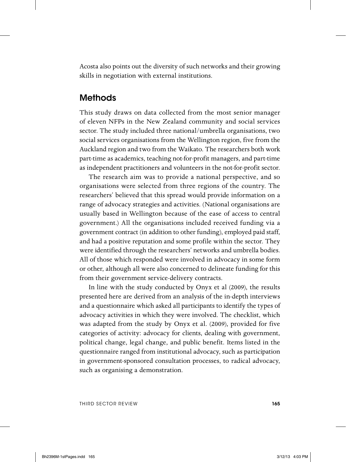Acosta also points out the diversity of such networks and their growing skills in negotiation with external institutions.

#### **Methods**

This study draws on data collected from the most senior manager of eleven NFPs in the New Zealand community and social services sector. The study included three national/umbrella organisations, two social services organisations from the Wellington region, five from the Auckland region and two from the Waikato. The researchers both work part-time as academics, teaching not-for-profit managers, and part-time as independent practitioners and volunteers in the not-for-profit sector.

The research aim was to provide a national perspective, and so organisations were selected from three regions of the country. The researchers' believed that this spread would provide information on a range of advocacy strategies and activities. (National organisations are usually based in Wellington because of the ease of access to central government.) All the organisations included received funding via a government contract (in addition to other funding), employed paid staff, and had a positive reputation and some profile within the sector. They were identified through the researchers' networks and umbrella bodies. All of those which responded were involved in advocacy in some form or other, although all were also concerned to delineate funding for this from their government service-delivery contracts.

In line with the study conducted by Onyx et al (2009), the results presented here are derived from an analysis of the in-depth interviews and a questionnaire which asked all participants to identify the types of advocacy activities in which they were involved. The checklist, which was adapted from the study by Onyx et al. (2009), provided for five categories of activity: advocacy for clients, dealing with government, political change, legal change, and public benefit. Items listed in the questionnaire ranged from institutional advocacy, such as participation in government-sponsored consultation processes, to radical advocacy, such as organising a demonstration.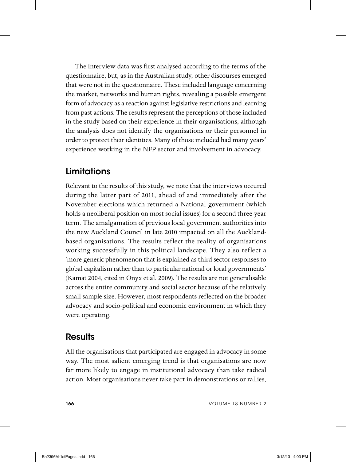The interview data was first analysed according to the terms of the questionnaire, but, as in the Australian study, other discourses emerged that were not in the questionnaire. These included language concerning the market, networks and human rights, revealing a possible emergent form of advocacy as a reaction against legislative restrictions and learning from past actions. The results represent the perceptions of those included in the study based on their experience in their organisations, although the analysis does not identify the organisations or their personnel in order to protect their identities. Many of those included had many years' experience working in the NFP sector and involvement in advocacy.

### **Limitations**

Relevant to the results of this study, we note that the interviews occured during the latter part of 2011, ahead of and immediately after the November elections which returned a National government (which holds a neoliberal position on most social issues) for a second three-year term. The amalgamation of previous local government authorities into the new Auckland Council in late 2010 impacted on all the Aucklandbased organisations. The results reflect the reality of organisations working successfully in this political landscape. They also reflect a 'more generic phenomenon that is explained as third sector responses to global capitalism rather than to particular national or local governments' (Kamat 2004, cited in Onyx et al. 2009). The results are not generalisable across the entire community and social sector because of the relatively small sample size. However, most respondents reflected on the broader advocacy and socio-political and economic environment in which they were operating.

#### **Results**

All the organisations that participated are engaged in advocacy in some way. The most salient emerging trend is that organisations are now far more likely to engage in institutional advocacy than take radical action. Most organisations never take part in demonstrations or rallies,

**166** VOLUME 18 NUMBER 2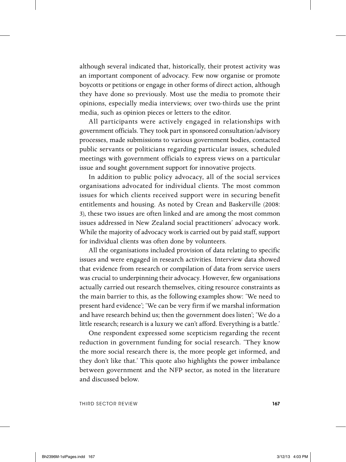although several indicated that, historically, their protest activity was an important component of advocacy. Few now organise or promote boycotts or petitions or engage in other forms of direct action, although they have done so previously. Most use the media to promote their opinions, especially media interviews; over two-thirds use the print media, such as opinion pieces or letters to the editor.

All participants were actively engaged in relationships with government officials. They took part in sponsored consultation/advisory processes, made submissions to various government bodies, contacted public servants or politicians regarding particular issues, scheduled meetings with government officials to express views on a particular issue and sought government support for innovative projects.

In addition to public policy advocacy, all of the social services organisations advocated for individual clients. The most common issues for which clients received support were in securing benefit entitlements and housing. As noted by Crean and Baskerville (2008: 3), these two issues are often linked and are among the most common issues addressed in New Zealand social practitioners' advocacy work. While the majority of advocacy work is carried out by paid staff, support for individual clients was often done by volunteers.

All the organisations included provision of data relating to specific issues and were engaged in research activities. Interview data showed that evidence from research or compilation of data from service users was crucial to underpinning their advocacy. However, few organisations actually carried out research themselves, citing resource constraints as the main barrier to this, as the following examples show: 'We need to present hard evidence'; 'We can be very firm if we marshal information and have research behind us; then the government does listen'; 'We do a little research; research is a luxury we can't afford. Everything is a battle.'

One respondent expressed some scepticism regarding the recent reduction in government funding for social research. 'They know the more social research there is, the more people get informed, and they don't like that.' This quote also highlights the power imbalance between government and the NFP sector, as noted in the literature and discussed below.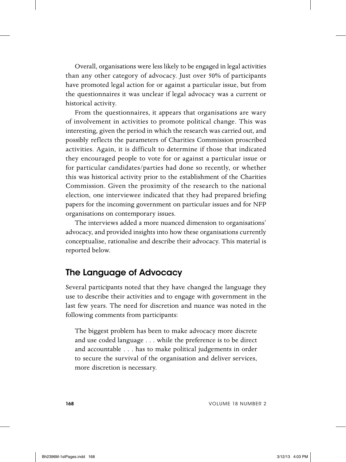Overall, organisations were less likely to be engaged in legal activities than any other category of advocacy. Just over 50% of participants have promoted legal action for or against a particular issue, but from the questionnaires it was unclear if legal advocacy was a current or historical activity.

From the questionnaires, it appears that organisations are wary of involvement in activities to promote political change. This was interesting, given the period in which the research was carried out, and possibly reflects the parameters of Charities Commission proscribed activities. Again, it is difficult to determine if those that indicated they encouraged people to vote for or against a particular issue or for particular candidates/parties had done so recently, or whether this was historical activity prior to the establishment of the Charities Commission. Given the proximity of the research to the national election, one interviewee indicated that they had prepared briefing papers for the incoming government on particular issues and for NFP organisations on contemporary issues.

The interviews added a more nuanced dimension to organisations' advocacy, and provided insights into how these organisations currently conceptualise, rationalise and describe their advocacy. This material is reported below.

#### **The Language of Advocacy**

Several participants noted that they have changed the language they use to describe their activities and to engage with government in the last few years. The need for discretion and nuance was noted in the following comments from participants:

The biggest problem has been to make advocacy more discrete and use coded language . . . while the preference is to be direct and accountable . . . has to make political judgements in order to secure the survival of the organisation and deliver services, more discretion is necessary.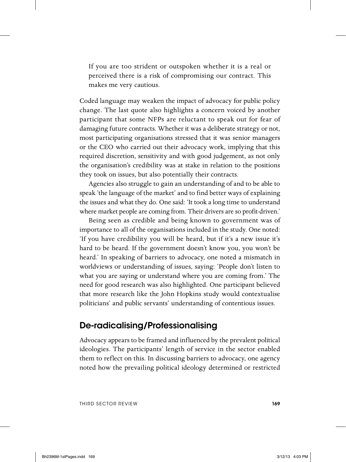If you are too strident or outspoken whether it is a real or perceived there is a risk of compromising our contract. This makes me very cautious.

Coded language may weaken the impact of advocacy for public policy change. The last quote also highlights a concern voiced by another participant that some NFPs are reluctant to speak out for fear of damaging future contracts. Whether it was a deliberate strategy or not, most participating organisations stressed that it was senior managers or the CEO who carried out their advocacy work, implying that this required discretion, sensitivity and with good judgement, as not only the organisation's credibility was at stake in relation to the positions they took on issues, but also potentially their contracts.

Agencies also struggle to gain an understanding of and to be able to speak 'the language of the market' and to find better ways of explaining the issues and what they do. One said: 'It took a long time to understand where market people are coming from. Their drivers are so profit-driven.'

Being seen as credible and being known to government was of importance to all of the organisations included in the study. One noted: 'If you have credibility you will be heard, but if it's a new issue it's hard to be heard. If the government doesn't know you, you won't be heard.' In speaking of barriers to advocacy, one noted a mismatch in worldviews or understanding of issues, saying: 'People don't listen to what you are saying or understand where you are coming from.' The need for good research was also highlighted. One participant believed that more research like the John Hopkins study would contextualise politicians' and public servants' understanding of contentious issues.

#### **De-radicalising/Professionalising**

Advocacy appears to be framed and influenced by the prevalent political ideologies. The participants' length of service in the sector enabled them to reflect on this. In discussing barriers to advocacy, one agency noted how the prevailing political ideology determined or restricted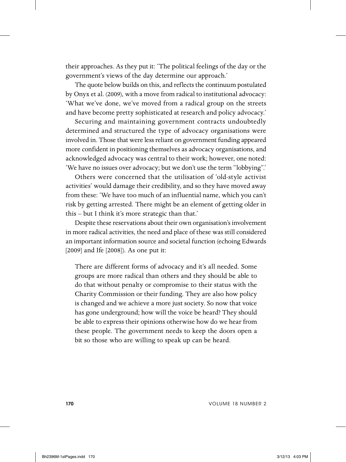their approaches. As they put it: 'The political feelings of the day or the government's views of the day determine our approach.'

The quote below builds on this, and reflects the continuum postulated by Onyx et al. (2009), with a move from radical to institutional advocacy: 'What we've done, we've moved from a radical group on the streets and have become pretty sophisticated at research and policy advocacy.'

Securing and maintaining government contracts undoubtedly determined and structured the type of advocacy organisations were involved in. Those that were less reliant on government funding appeared more confident in positioning themselves as advocacy organisations, and acknowledged advocacy was central to their work; however, one noted: 'We have no issues over advocacy; but we don't use the term "lobbying".'

Others were concerned that the utilisation of 'old-style activist activities' would damage their credibility, and so they have moved away from these: 'We have too much of an influential name, which you can't risk by getting arrested. There might be an element of getting older in this – but I think it's more strategic than that.'

Despite these reservations about their own organisation's involvement in more radical activities, the need and place of these was still considered an important information source and societal function (echoing Edwards [2009] and Ife [2008]). As one put it:

There are different forms of advocacy and it's all needed. Some groups are more radical than others and they should be able to do that without penalty or compromise to their status with the Charity Commission or their funding. They are also how policy is changed and we achieve a more just society. So now that voice has gone underground; how will the voice be heard? They should be able to express their opinions otherwise how do we hear from these people. The government needs to keep the doors open a bit so those who are willing to speak up can be heard.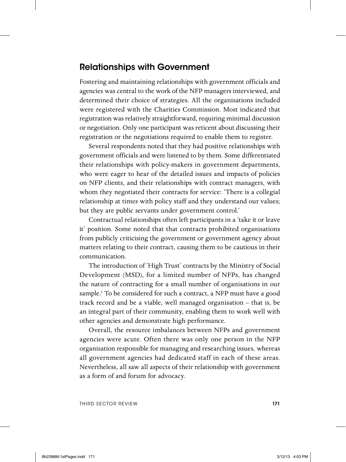#### **Relationships with Government**

Fostering and maintaining relationships with government officials and agencies was central to the work of the NFP managers interviewed, and determined their choice of strategies. All the organisations included were registered with the Charities Commission. Most indicated that registration was relatively straightforward, requiring minimal discussion or negotiation. Only one participant was reticent about discussing their registration or the negotiations required to enable them to register.

Several respondents noted that they had positive relationships with government officials and were listened to by them. Some differentiated their relationships with policy-makers in government departments, who were eager to hear of the detailed issues and impacts of policies on NFP clients, and their relationships with contract managers, with whom they negotiated their contracts for service: 'There is a collegial relationship at times with policy staff and they understand our values; but they are public servants under government control.'

Contractual relationships often left participants in a 'take it or leave it' position. Some noted that that contracts prohibited organisations from publicly criticising the government or government agency about matters relating to their contract, causing them to be cautious in their communication.

The introduction of 'High Trust' contracts by the Ministry of Social Development (MSD), for a limited number of NFPs, has changed the nature of contracting for a small number of organisations in our sample.1 To be considered for such a contract, a NFP must have a good track record and be a viable, well managed organisation – that is, be an integral part of their community, enabling them to work well with other agencies and demonstrate high performance.

Overall, the resource imbalances between NFPs and government agencies were acute. Often there was only one person in the NFP organisation responsible for managing and researching issues, whereas all government agencies had dedicated staff in each of these areas. Nevertheless, all saw all aspects of their relationship with government as a form of and forum for advocacy.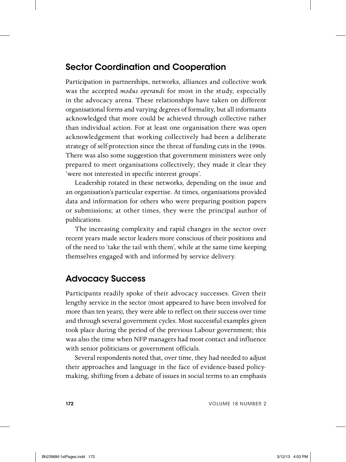### **Sector Coordination and Cooperation**

Participation in partnerships, networks, alliances and collective work was the accepted *modus operandi* for most in the study, especially in the advocacy arena. These relationships have taken on different organisational forms and varying degrees of formality, but all informants acknowledged that more could be achieved through collective rather than individual action. For at least one organisation there was open acknowledgement that working collectively had been a deliberate strategy of self-protection since the threat of funding cuts in the 1990s. There was also some suggestion that government ministers were only prepared to meet organisations collectively; they made it clear they 'were not interested in specific interest groups'.

Leadership rotated in these networks, depending on the issue and an organisation's particular expertise. At times, organisations provided data and information for others who were preparing position papers or submissions; at other times, they were the principal author of publications.

The increasing complexity and rapid changes in the sector over recent years made sector leaders more conscious of their positions and of the need to 'take the tail with them', while at the same time keeping themselves engaged with and informed by service delivery.

#### **Advocacy Success**

Participants readily spoke of their advocacy successes. Given their lengthy service in the sector (most appeared to have been involved for more than ten years), they were able to reflect on their success over time and through several government cycles. Most successful examples given took place during the period of the previous Labour government; this was also the time when NFP managers had most contact and influence with senior politicians or government officials.

Several respondents noted that, over time, they had needed to adjust their approaches and language in the face of evidence-based policymaking, shifting from a debate of issues in social terms to an emphasis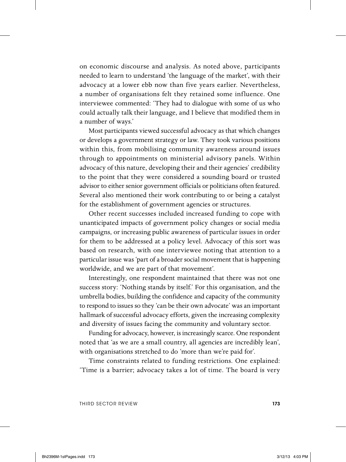on economic discourse and analysis. As noted above, participants needed to learn to understand 'the language of the market', with their advocacy at a lower ebb now than five years earlier. Nevertheless, a number of organisations felt they retained some influence. One interviewee commented: 'They had to dialogue with some of us who could actually talk their language, and I believe that modified them in a number of ways.'

Most participants viewed successful advocacy as that which changes or develops a government strategy or law. They took various positions within this, from mobilising community awareness around issues through to appointments on ministerial advisory panels. Within advocacy of this nature, developing their and their agencies' credibility to the point that they were considered a sounding board or trusted advisor to either senior government officials or politicians often featured. Several also mentioned their work contributing to or being a catalyst for the establishment of government agencies or structures.

Other recent successes included increased funding to cope with unanticipated impacts of government policy changes or social media campaigns, or increasing public awareness of particular issues in order for them to be addressed at a policy level. Advocacy of this sort was based on research, with one interviewee noting that attention to a particular issue was 'part of a broader social movement that is happening worldwide, and we are part of that movement'.

Interestingly, one respondent maintained that there was not one success story: 'Nothing stands by itself.' For this organisation, and the umbrella bodies, building the confidence and capacity of the community to respond to issues so they 'can be their own advocate' was an important hallmark of successful advocacy efforts, given the increasing complexity and diversity of issues facing the community and voluntary sector.

Funding for advocacy, however, is increasingly scarce. One respondent noted that 'as we are a small country, all agencies are incredibly lean', with organisations stretched to do 'more than we're paid for'.

Time constraints related to funding restrictions. One explained: 'Time is a barrier; advocacy takes a lot of time. The board is very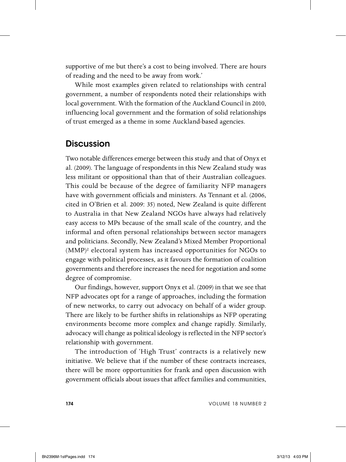supportive of me but there's a cost to being involved. There are hours of reading and the need to be away from work.'

While most examples given related to relationships with central government, a number of respondents noted their relationships with local government. With the formation of the Auckland Council in 2010, influencing local government and the formation of solid relationships of trust emerged as a theme in some Auckland-based agencies.

#### **Discussion**

Two notable differences emerge between this study and that of Onyx et al. (2009). The language of respondents in this New Zealand study was less militant or oppositional than that of their Australian colleagues. This could be because of the degree of familiarity NFP managers have with government officials and ministers. As Tennant et al. (2006, cited in O'Brien et al. 2009: 35) noted, New Zealand is quite different to Australia in that New Zealand NGOs have always had relatively easy access to MPs because of the small scale of the country, and the informal and often personal relationships between sector managers and politicians. Secondly, New Zealand's Mixed Member Proportional (MMP)2 electoral system has increased opportunities for NGOs to engage with political processes, as it favours the formation of coalition governments and therefore increases the need for negotiation and some degree of compromise.

Our findings, however, support Onyx et al. (2009) in that we see that NFP advocates opt for a range of approaches, including the formation of new networks, to carry out advocacy on behalf of a wider group. There are likely to be further shifts in relationships as NFP operating environments become more complex and change rapidly. Similarly, advocacy will change as political ideology is reflected in the NFP sector's relationship with government.

The introduction of 'High Trust' contracts is a relatively new initiative. We believe that if the number of these contracts increases, there will be more opportunities for frank and open discussion with government officials about issues that affect families and communities,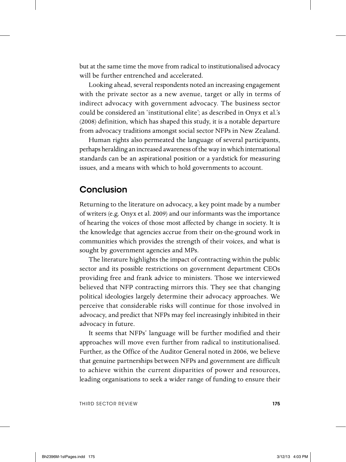but at the same time the move from radical to institutionalised advocacy will be further entrenched and accelerated.

Looking ahead, several respondents noted an increasing engagement with the private sector as a new avenue, target or ally in terms of indirect advocacy with government advocacy. The business sector could be considered an 'institutional elite'; as described in Onyx et al.'s (2008) definition, which has shaped this study, it is a notable departure from advocacy traditions amongst social sector NFPs in New Zealand.

Human rights also permeated the language of several participants, perhaps heralding an increased awareness of the way in which international standards can be an aspirational position or a yardstick for measuring issues, and a means with which to hold governments to account.

#### **Conclusion**

Returning to the literature on advocacy, a key point made by a number of writers (e.g. Onyx et al. 2009) and our informants was the importance of hearing the voices of those most affected by change in society. It is the knowledge that agencies accrue from their on-the-ground work in communities which provides the strength of their voices, and what is sought by government agencies and MPs.

 The literature highlights the impact of contracting within the public sector and its possible restrictions on government department CEOs providing free and frank advice to ministers. Those we interviewed believed that NFP contracting mirrors this. They see that changing political ideologies largely determine their advocacy approaches. We perceive that considerable risks will continue for those involved in advocacy, and predict that NFPs may feel increasingly inhibited in their advocacy in future.

It seems that NFPs' language will be further modified and their approaches will move even further from radical to institutionalised. Further, as the Office of the Auditor General noted in 2006, we believe that genuine partnerships between NFPs and government are difficult to achieve within the current disparities of power and resources, leading organisations to seek a wider range of funding to ensure their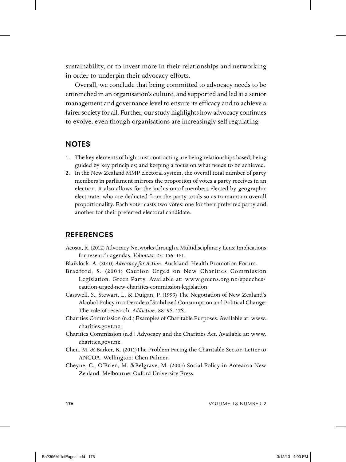sustainability, or to invest more in their relationships and networking in order to underpin their advocacy efforts.

Overall, we conclude that being committed to advocacy needs to be entrenched in an organisation's culture, and supported and led at a senior management and governance level to ensure its efficacy and to achieve a fairer society for all. Further, our study highlights how advocacy continues to evolve, even though organisations are increasingly self-regulating.

#### **NOTES**

- 1. The key elements of high trust contracting are being relationships-based; being guided by key principles; and keeping a focus on what needs to be achieved.
- 2. In the New Zealand MMP electoral system, the overall total number of party members in parliament mirrors the proportion of votes a party receives in an election. It also allows for the inclusion of members elected by geographic electorate, who are deducted from the party totals so as to maintain overall proportionality. Each voter casts two votes: one for their preferred party and another for their preferred electoral candidate.

#### **REFERENCES**

- Acosta, R. (2012) Advocacy Networks through a Multidisciplinary Lens: Implications for research agendas. *Voluntas*, 23: 156–181.
- Blaiklock, A. (2010) *Advocacy for Action*. Auckland: Health Promotion Forum.
- Bradford, S. (2004) Caution Urged on New Charities Commission Legislation. Green Party. Available at: www.greens.org.nz/speeches/ caution-urged-new-charities-commission-legislation.
- Casswell, S., Stewart, L. & Duigan, P. (1993) The Negotiation of New Zealand's Alcohol Policy in a Decade of Stabilized Consumption and Political Change: The role of research. *Addiction*, 88: 9S–17S.
- Charities Commission (n.d.) Examples of Charitable Purposes. Available at: www. charities.govt.nz.
- Charities Commission (n.d.) Advocacy and the Charities Act. Available at: www. charities.govt.nz.
- Chen, M. & Barker, K. (2011)The Problem Facing the Charitable Sector. Letter to ANGOA. Wellington: Chen Palmer.
- Cheyne, C., O'Brien, M. &Belgrave, M. (2005) Social Policy in Aotearoa New Zealand. Melbourne: Oxford University Press.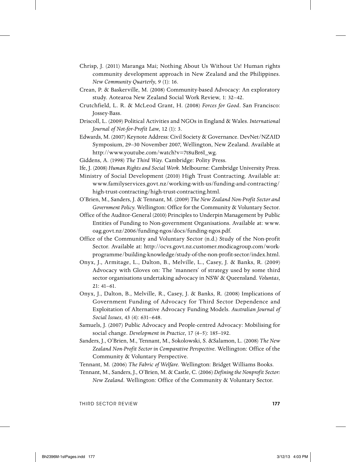- Chrisp, J. (2011) Maranga Mai; Nothing About Us Without Us! Human rights community development approach in New Zealand and the Philippines. *New Community Quarterly*, 9 (1): 16.
- Crean, P. & Baskerville, M. (2008) Community-based Advocacy: An exploratory study. Aotearoa New Zealand Social Work Review, 1: 32–42.
- Crutchfield, L. R. & McLeod Grant, H. (2008) *Forces for Good*. San Francisco: Jossey-Bass.
- Driscoll, L. (2009) Political Activities and NGOs in England & Wales. *International Journal of Not-for-Profit Law*, 12 (1): 3.
- Edwards, M. (2007) Keynote Address: Civil Society & Governance. DevNet/NZAID Symposium, 29–30 November 2007, Wellington, New Zealand. Available at http://www.youtube.com/watch?v=7t8uBr6I\_wg.
- Giddens, A. (1998) *The Third Way*. Cambridge: Polity Press.
- Ife, J. (2008) *Human Rights and Social Work*. Melbourne: Cambridge University Press.
- Ministry of Social Development (2010) High Trust Contracting. Available at: www.familyservices.govt.nz/working-with-us/funding-and-contracting/ high-trust-contracting/high-trust-contracting.html.
- O'Brien, M., Sanders, J. & Tennant, M. (2009) *The New Zealand Non-Profit Sector and Government Policy*. Wellington: Office for the Community & Voluntary Sector.
- Office of the Auditor-General (2010) Principles to Underpin Management by Public Entities of Funding to Non-government Organisations. Available at: www. oag.govt.nz/2006/funding-ngos/docs/funding-ngos.pdf.
- Office of the Community and Voluntary Sector (n.d.) Study of the Non-profit Sector. Available at: http://ocvs.govt.nz.customer.modicagroup.com/workprogramme/building-knowledge/study-of-the-non-profit-sector/index.html.
- Onyx, J., Armitage, L., Dalton, B., Melville, L., Casey, J. & Banks, R. (2009) Advocacy with Gloves on: The 'manners' of strategy used by some third sector organisations undertaking advocacy in NSW & Queensland. *Voluntas*, 21: 41–61.
- Onyx, J., Dalton, B., Melville, R., Casey, J. & Banks, R. (2008) Implications of Government Funding of Advocacy for Third Sector Dependence and Exploitation of Alternative Advocacy Funding Models. *Australian Journal of Social Issues*, 43 (4): 631–648.
- Samuels, J. (2007) Public Advocacy and People-centred Advocacy: Mobilising for social change. *Development in Practice*, 17 (4–5): 185–192.
- Sanders, J., O'Brien, M., Tennant, M., Sokolowski, S. &Salamon, L. (2008) *The New Zealand Non-Profit Sector in Comparative Perspective*. Wellington: Office of the Community & Voluntary Perspective.
- Tennant, M. (2006) *The Fabric of Welfare*. Wellington: Bridget Williams Books.
- Tennant, M., Sanders, J., O'Brien, M. & Castle, C. (2006) *Defining the Nonprofit Sector: New Zealand*. Wellington: Office of the Community & Voluntary Sector.